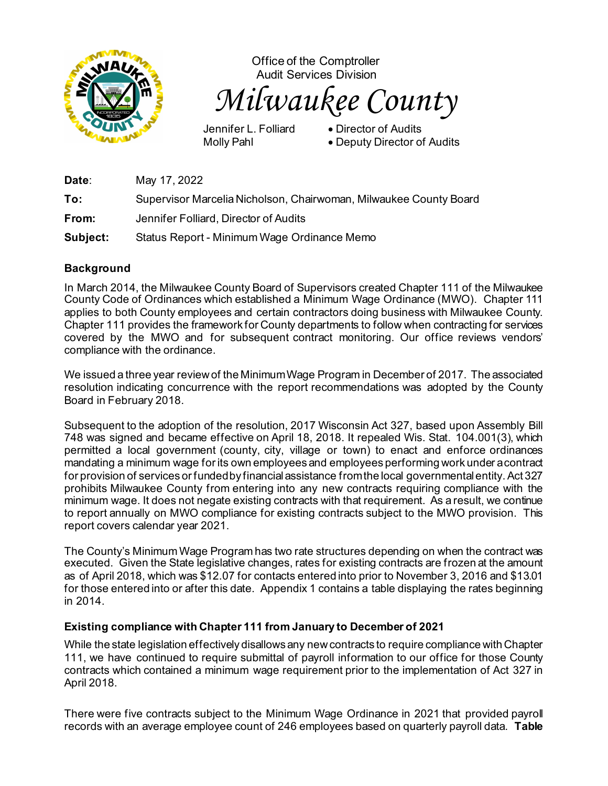

Office of the Comptroller Audit Services Division *Milwaukee County*

Jennifer L. Folliard • Director of Audits

Molly Pahl • Deputy Director of Audits

**Date**: May 17, 2022 **To:** Supervisor Marcelia Nicholson, Chairwoman, Milwaukee County Board **From:** Jennifer Folliard, Director of Audits **Subject:** Status Report - Minimum Wage Ordinance Memo

## **Background**

In March 2014, the Milwaukee County Board of Supervisors created Chapter 111 of the Milwaukee County Code of Ordinances which established a Minimum Wage Ordinance (MWO). Chapter 111 applies to both County employees and certain contractors doing business with Milwaukee County. Chapter 111 provides the framework for County departments to follow when contracting for services covered by the MWO and for subsequent contract monitoring. Our office reviews vendors' compliance with the ordinance.

We issued a three year review of the Minimum Wage Program in December of 2017. The associated resolution indicating concurrence with the report recommendations was adopted by the County Board in February 2018.

Subsequent to the adoption of the resolution, 2017 Wisconsin Act 327, based upon Assembly Bill 748 was signed and became effective on April 18, 2018. It repealed Wis. Stat. 104.001(3), which permitted a local government (county, city, village or town) to enact and enforce ordinances mandating a minimum wage for its own employees and employees performing work under a contract for provision of services or funded by financial assistance from the local governmental entity. Act 327 prohibits Milwaukee County from entering into any new contracts requiring compliance with the minimum wage. It does not negate existing contracts with that requirement. As a result, we continue to report annually on MWO compliance for existing contracts subject to the MWO provision. This report covers calendar year 2021.

The County's Minimum Wage Program has two rate structures depending on when the contract was executed. Given the State legislative changes, rates for existing contracts are frozen at the amount as of April 2018, which was \$12.07 for contacts entered into prior to November 3, 2016 and \$13.01 for those entered into or after this date. Appendix 1 contains a table displaying the rates beginning in 2014.

## **Existing compliance with Chapter 111 from January to December of 2021**

While the state legislation effectively disallows any new contracts to require compliance with Chapter 111, we have continued to require submittal of payroll information to our office for those County contracts which contained a minimum wage requirement prior to the implementation of Act 327 in April 2018.

There were five contracts subject to the Minimum Wage Ordinance in 2021 that provided payroll records with an average employee count of 246 employees based on quarterly payroll data. **Table**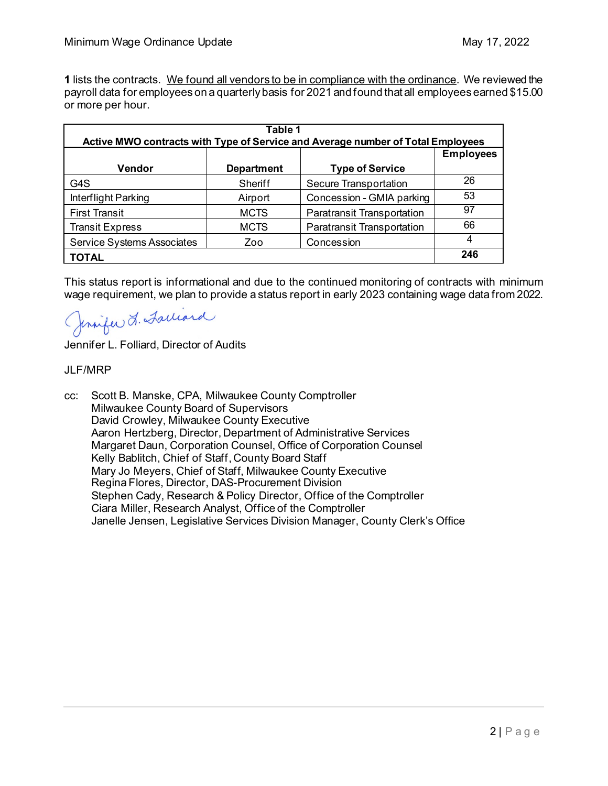**1** lists the contracts. We found all vendors to be in compliance with the ordinance. We reviewed the payroll data for employees on a quarterly basis for 2021 and found that all employees earned \$15.00 or more per hour.

| Table 1<br>Active MWO contracts with Type of Service and Average number of Total Employees |                   |                                   |                  |  |  |
|--------------------------------------------------------------------------------------------|-------------------|-----------------------------------|------------------|--|--|
|                                                                                            |                   |                                   | <b>Employees</b> |  |  |
| <b>Vendor</b>                                                                              | <b>Department</b> | <b>Type of Service</b>            |                  |  |  |
| G4S                                                                                        | Sheriff           | <b>Secure Transportation</b>      | 26               |  |  |
| Interflight Parking                                                                        | Airport           | Concession - GMIA parking         | 53               |  |  |
| <b>First Transit</b>                                                                       | <b>MCTS</b>       | <b>Paratransit Transportation</b> | 97               |  |  |
| <b>Transit Express</b>                                                                     | <b>MCTS</b>       | <b>Paratransit Transportation</b> | 66               |  |  |
| Service Systems Associates                                                                 | Zoo               | Concession                        | 4                |  |  |
| <b>TOTAL</b>                                                                               |                   |                                   | 246              |  |  |

This status report is informational and due to the continued monitoring of contracts with minimum wage requirement, we plan to provide a status report in early 2023 containing wage data from 2022.

Jennifer L. Facciard

Jennifer L. Folliard, Director of Audits

## **JLF/MRP**

cc: Scott B. Manske, CPA, Milwaukee County Comptroller Milwaukee County Board of Supervisors David Crowley, Milwaukee County Executive Aaron Hertzberg, Director, Department of Administrative Services Margaret Daun, Corporation Counsel, Office of Corporation Counsel Kelly Bablitch, Chief of Staff, County Board Staff Mary Jo Meyers, Chief of Staff, Milwaukee County Executive Regina Flores, Director, DAS-Procurement Division Stephen Cady, Research & Policy Director, Office of the Comptroller Ciara Miller, Research Analyst, Office of the Comptroller Janelle Jensen, Legislative Services Division Manager, County Clerk's Office